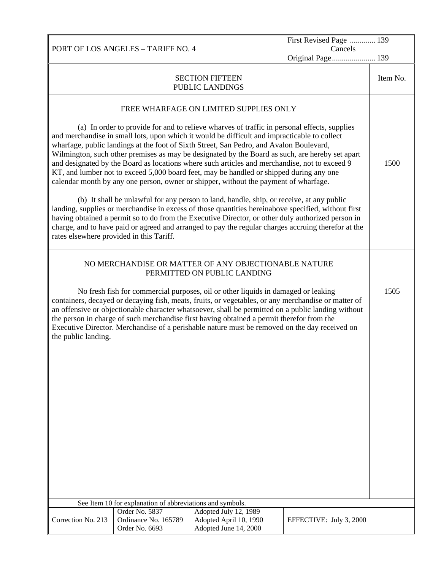PORT OF LOS ANGELES – TARIFF NO. 4 First Revised Page ............. 139 Cancels Original Page...................... 139 SECTION FIFTEEN PUBLIC LANDINGS Item No. FREE WHARFAGE ON LIMITED SUPPLIES ONLY (a) In order to provide for and to relieve wharves of traffic in personal effects, supplies and merchandise in small lots, upon which it would be difficult and impracticable to collect wharfage, public landings at the foot of Sixth Street, San Pedro, and Avalon Boulevard, Wilmington, such other premises as may be designated by the Board as such, are hereby set apart and designated by the Board as locations where such articles and merchandise, not to exceed 9 KT, and lumber not to exceed 5,000 board feet, may be handled or shipped during any one calendar month by any one person, owner or shipper, without the payment of wharfage. (b) It shall be unlawful for any person to land, handle, ship, or receive, at any public landing, supplies or merchandise in excess of those quantities hereinabove specified, without first having obtained a permit so to do from the Executive Director, or other duly authorized person in charge, and to have paid or agreed and arranged to pay the regular charges accruing therefor at the rates elsewhere provided in this Tariff. 1500 NO MERCHANDISE OR MATTER OF ANY OBJECTIONABLE NATURE PERMITTED ON PUBLIC LANDING No fresh fish for commercial purposes, oil or other liquids in damaged or leaking containers, decayed or decaying fish, meats, fruits, or vegetables, or any merchandise or matter of an offensive or objectionable character whatsoever, shall be permitted on a public landing without the person in charge of such merchandise first having obtained a permit therefor from the Executive Director. Merchandise of a perishable nature must be removed on the day received on the public landing. 1505 See Item 10 for explanation of abbreviations and symbols. Correction No. 213 Order No. 5837 Adopted July 12, 1989 Ordinance No. 165789 Adopted April 10, 1990 Order No. 6693 Adopted June 14, 2000 EFFECTIVE: July 3, 2000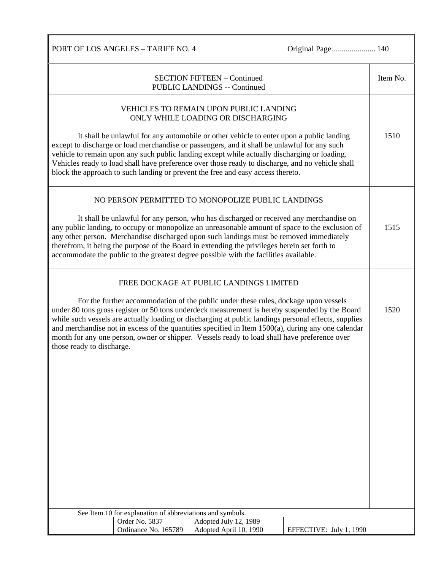PORT OF LOS ANGELES – TARIFF NO. 4 Original Page................................. 140

| <b>SECTION FIFTEEN - Continued</b><br><b>PUBLIC LANDINGS -- Continued</b>                                                                                                                                                                                                                                                                                                                                                                                                                                                           |                      |                                                   |                         |      |  |
|-------------------------------------------------------------------------------------------------------------------------------------------------------------------------------------------------------------------------------------------------------------------------------------------------------------------------------------------------------------------------------------------------------------------------------------------------------------------------------------------------------------------------------------|----------------------|---------------------------------------------------|-------------------------|------|--|
| VEHICLES TO REMAIN UPON PUBLIC LANDING<br>ONLY WHILE LOADING OR DISCHARGING                                                                                                                                                                                                                                                                                                                                                                                                                                                         |                      |                                                   |                         |      |  |
| It shall be unlawful for any automobile or other vehicle to enter upon a public landing<br>except to discharge or load merchandise or passengers, and it shall be unlawful for any such<br>vehicle to remain upon any such public landing except while actually discharging or loading.<br>Vehicles ready to load shall have preference over those ready to discharge, and no vehicle shall<br>block the approach to such landing or prevent the free and easy access thereto.                                                      |                      |                                                   |                         |      |  |
|                                                                                                                                                                                                                                                                                                                                                                                                                                                                                                                                     |                      | NO PERSON PERMITTED TO MONOPOLIZE PUBLIC LANDINGS |                         |      |  |
| It shall be unlawful for any person, who has discharged or received any merchandise on<br>any public landing, to occupy or monopolize an unreasonable amount of space to the exclusion of<br>any other person. Merchandise discharged upon such landings must be removed immediately<br>therefrom, it being the purpose of the Board in extending the privileges herein set forth to<br>accommodate the public to the greatest degree possible with the facilities available.                                                       |                      |                                                   |                         |      |  |
| FREE DOCKAGE AT PUBLIC LANDINGS LIMITED                                                                                                                                                                                                                                                                                                                                                                                                                                                                                             |                      |                                                   |                         |      |  |
| For the further accommodation of the public under these rules, dockage upon vessels<br>under 80 tons gross register or 50 tons underdeck measurement is hereby suspended by the Board<br>while such vessels are actually loading or discharging at public landings personal effects, supplies<br>and merchandise not in excess of the quantities specified in Item $1500(a)$ , during any one calendar<br>month for any one person, owner or shipper. Vessels ready to load shall have preference over<br>those ready to discharge. |                      |                                                   |                         | 1520 |  |
|                                                                                                                                                                                                                                                                                                                                                                                                                                                                                                                                     |                      |                                                   |                         |      |  |
|                                                                                                                                                                                                                                                                                                                                                                                                                                                                                                                                     |                      |                                                   |                         |      |  |
|                                                                                                                                                                                                                                                                                                                                                                                                                                                                                                                                     |                      |                                                   |                         |      |  |
|                                                                                                                                                                                                                                                                                                                                                                                                                                                                                                                                     |                      |                                                   |                         |      |  |
|                                                                                                                                                                                                                                                                                                                                                                                                                                                                                                                                     |                      |                                                   |                         |      |  |
|                                                                                                                                                                                                                                                                                                                                                                                                                                                                                                                                     |                      |                                                   |                         |      |  |
|                                                                                                                                                                                                                                                                                                                                                                                                                                                                                                                                     |                      |                                                   |                         |      |  |
| See Item 10 for explanation of abbreviations and symbols.                                                                                                                                                                                                                                                                                                                                                                                                                                                                           |                      |                                                   |                         |      |  |
|                                                                                                                                                                                                                                                                                                                                                                                                                                                                                                                                     | Order No. 5837       | Adopted July 12, 1989                             |                         |      |  |
|                                                                                                                                                                                                                                                                                                                                                                                                                                                                                                                                     | Ordinance No. 165789 | Adopted April 10, 1990                            | EFFECTIVE: July 1, 1990 |      |  |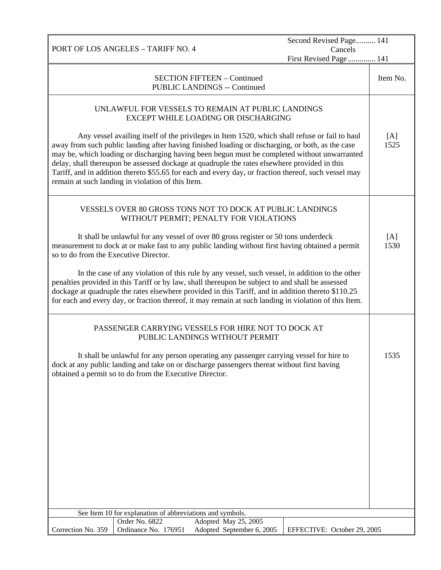|                                                                                                                                                                                                                                                                                                                                                                                                                                                                                                                                                                |                                        |                                                                           | Second Revised Page 141           |          |
|----------------------------------------------------------------------------------------------------------------------------------------------------------------------------------------------------------------------------------------------------------------------------------------------------------------------------------------------------------------------------------------------------------------------------------------------------------------------------------------------------------------------------------------------------------------|----------------------------------------|---------------------------------------------------------------------------|-----------------------------------|----------|
|                                                                                                                                                                                                                                                                                                                                                                                                                                                                                                                                                                | PORT OF LOS ANGELES - TARIFF NO. 4     |                                                                           | Cancels<br>First Revised Page 141 |          |
|                                                                                                                                                                                                                                                                                                                                                                                                                                                                                                                                                                |                                        | <b>SECTION FIFTEEN - Continued</b><br><b>PUBLIC LANDINGS -- Continued</b> |                                   | Item No. |
| UNLAWFUL FOR VESSELS TO REMAIN AT PUBLIC LANDINGS<br>EXCEPT WHILE LOADING OR DISCHARGING                                                                                                                                                                                                                                                                                                                                                                                                                                                                       |                                        |                                                                           |                                   |          |
| Any vessel availing itself of the privileges in Item 1520, which shall refuse or fail to haul<br>away from such public landing after having finished loading or discharging, or both, as the case<br>may be, which loading or discharging having been begun must be completed without unwarranted<br>delay, shall thereupon be assessed dockage at quadruple the rates elsewhere provided in this<br>Tariff, and in addition thereto \$55.65 for each and every day, or fraction thereof, such vessel may<br>remain at such landing in violation of this Item. |                                        |                                                                           |                                   |          |
| VESSELS OVER 80 GROSS TONS NOT TO DOCK AT PUBLIC LANDINGS<br>WITHOUT PERMIT; PENALTY FOR VIOLATIONS                                                                                                                                                                                                                                                                                                                                                                                                                                                            |                                        |                                                                           |                                   |          |
| It shall be unlawful for any vessel of over 80 gross register or 50 tons underdeck<br>measurement to dock at or make fast to any public landing without first having obtained a permit<br>so to do from the Executive Director.                                                                                                                                                                                                                                                                                                                                |                                        |                                                                           |                                   |          |
| In the case of any violation of this rule by any vessel, such vessel, in addition to the other<br>penalties provided in this Tariff or by law, shall thereupon be subject to and shall be assessed<br>dockage at quadruple the rates elsewhere provided in this Tariff, and in addition thereto \$110.25<br>for each and every day, or fraction thereof, it may remain at such landing in violation of this Item.                                                                                                                                              |                                        |                                                                           |                                   |          |
| PASSENGER CARRYING VESSELS FOR HIRE NOT TO DOCK AT<br>PUBLIC LANDINGS WITHOUT PERMIT                                                                                                                                                                                                                                                                                                                                                                                                                                                                           |                                        |                                                                           |                                   |          |
| It shall be unlawful for any person operating any passenger carrying vessel for hire to<br>dock at any public landing and take on or discharge passengers thereat without first having<br>obtained a permit so to do from the Executive Director.                                                                                                                                                                                                                                                                                                              |                                        |                                                                           |                                   | 1535     |
|                                                                                                                                                                                                                                                                                                                                                                                                                                                                                                                                                                |                                        |                                                                           |                                   |          |
|                                                                                                                                                                                                                                                                                                                                                                                                                                                                                                                                                                |                                        |                                                                           |                                   |          |
|                                                                                                                                                                                                                                                                                                                                                                                                                                                                                                                                                                |                                        |                                                                           |                                   |          |
|                                                                                                                                                                                                                                                                                                                                                                                                                                                                                                                                                                |                                        |                                                                           |                                   |          |
| See Item 10 for explanation of abbreviations and symbols.                                                                                                                                                                                                                                                                                                                                                                                                                                                                                                      |                                        |                                                                           |                                   |          |
| Correction No. 359                                                                                                                                                                                                                                                                                                                                                                                                                                                                                                                                             | Order No. 6822<br>Ordinance No. 176951 | Adopted May 25, 2005<br>Adopted September 6, 2005                         | EFFECTIVE: October 29, 2005       |          |